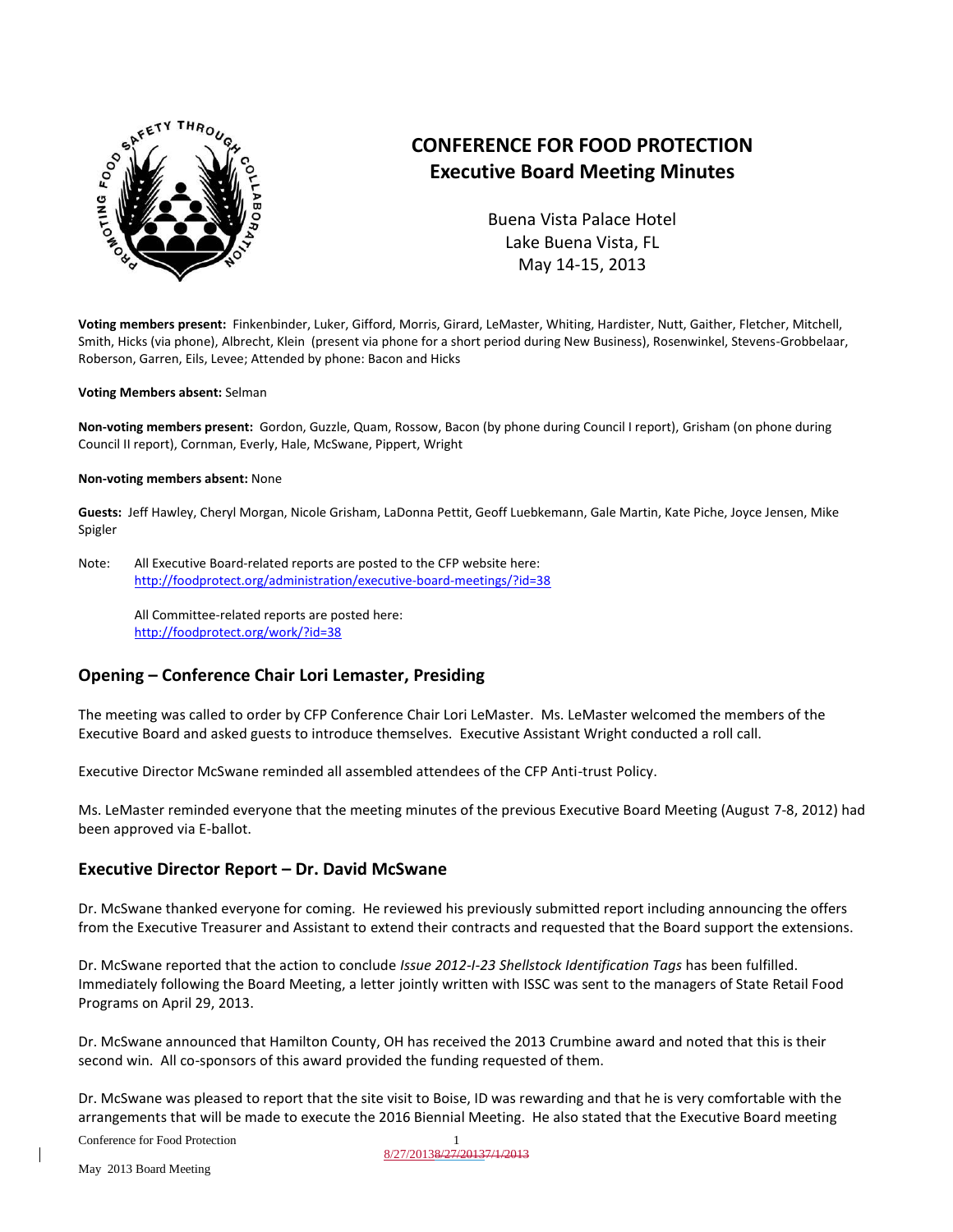

# **CONFERENCE FOR FOOD PROTECTION Executive Board Meeting Minutes**

Buena Vista Palace Hotel Lake Buena Vista, FL May 14-15, 2013

**Voting members present:** Finkenbinder, Luker, Gifford, Morris, Girard, LeMaster, Whiting, Hardister, Nutt, Gaither, Fletcher, Mitchell, Smith, Hicks (via phone), Albrecht, Klein (present via phone for a short period during New Business), Rosenwinkel, Stevens-Grobbelaar, Roberson, Garren, Eils, Levee; Attended by phone: Bacon and Hicks

**Voting Members absent:** Selman

**Non-voting members present:** Gordon, Guzzle, Quam, Rossow, Bacon (by phone during Council I report), Grisham (on phone during Council II report), Cornman, Everly, Hale, McSwane, Pippert, Wright

#### **Non-voting members absent:** None

**Guests:** Jeff Hawley, Cheryl Morgan, Nicole Grisham, LaDonna Pettit, Geoff Luebkemann, Gale Martin, Kate Piche, Joyce Jensen, Mike Spigler

Note: All Executive Board-related reports are posted to the CFP website here: <http://foodprotect.org/administration/executive-board-meetings/?id=38>

> All Committee-related reports are posted here: <http://foodprotect.org/work/?id=38>

#### **Opening – Conference Chair Lori Lemaster, Presiding**

The meeting was called to order by CFP Conference Chair Lori LeMaster. Ms. LeMaster welcomed the members of the Executive Board and asked guests to introduce themselves. Executive Assistant Wright conducted a roll call.

Executive Director McSwane reminded all assembled attendees of the CFP Anti-trust Policy.

Ms. LeMaster reminded everyone that the meeting minutes of the previous Executive Board Meeting (August 7-8, 2012) had been approved via E-ballot.

#### **Executive Director Report – Dr. David McSwane**

Dr. McSwane thanked everyone for coming. He reviewed his previously submitted report including announcing the offers from the Executive Treasurer and Assistant to extend their contracts and requested that the Board support the extensions.

Dr. McSwane reported that the action to conclude *Issue 2012-I-23 Shellstock Identification Tags* has been fulfilled. Immediately following the Board Meeting, a letter jointly written with ISSC was sent to the managers of State Retail Food Programs on April 29, 2013.

Dr. McSwane announced that Hamilton County, OH has received the 2013 Crumbine award and noted that this is their second win. All co-sponsors of this award provided the funding requested of them.

Dr. McSwane was pleased to report that the site visit to Boise, ID was rewarding and that he is very comfortable with the arrangements that will be made to execute the 2016 Biennial Meeting. He also stated that the Executive Board meeting

Conference for Food Protection 1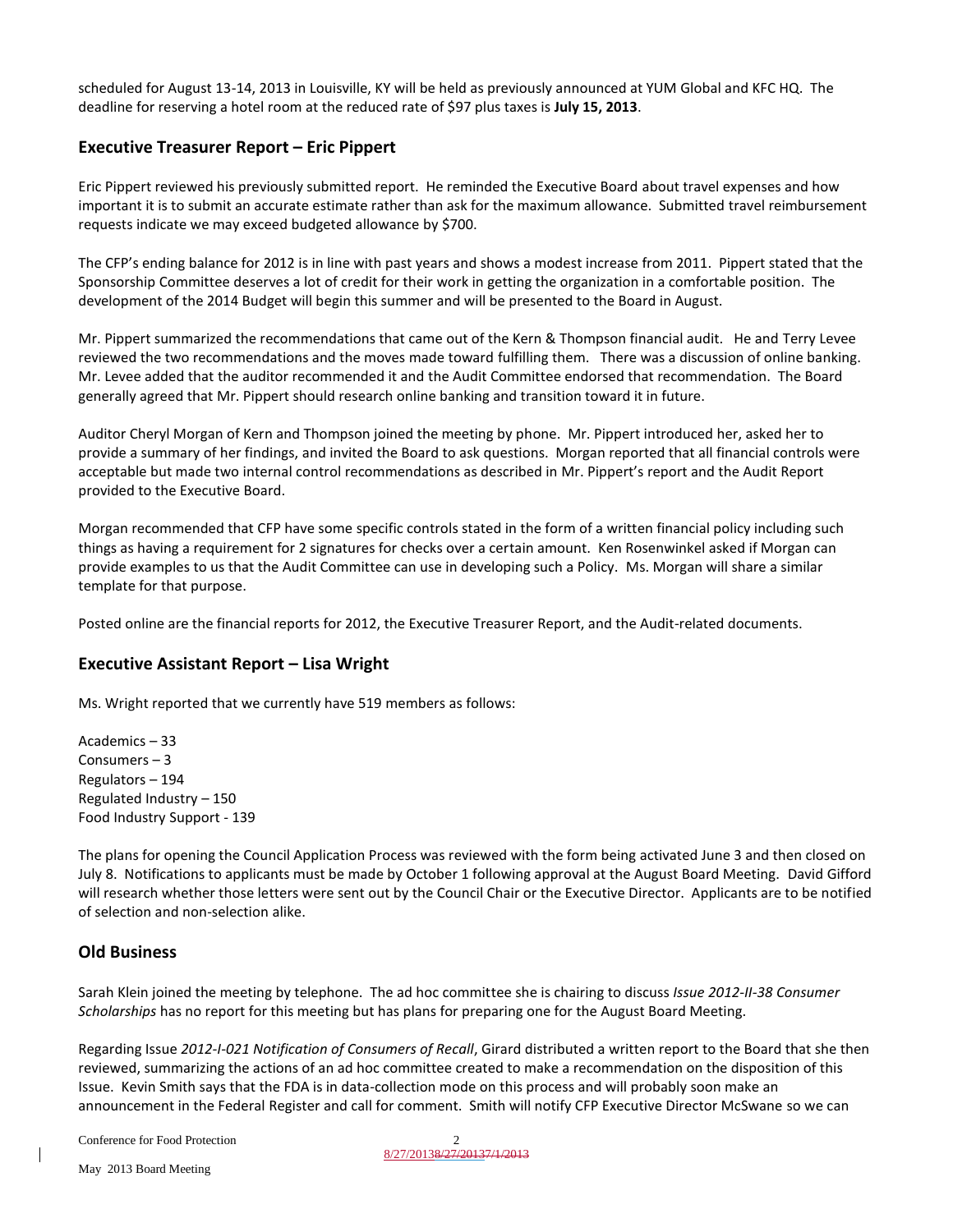scheduled for August 13-14, 2013 in Louisville, KY will be held as previously announced at YUM Global and KFC HQ. The deadline for reserving a hotel room at the reduced rate of \$97 plus taxes is **July 15, 2013**.

## **Executive Treasurer Report – Eric Pippert**

Eric Pippert reviewed his previously submitted report. He reminded the Executive Board about travel expenses and how important it is to submit an accurate estimate rather than ask for the maximum allowance. Submitted travel reimbursement requests indicate we may exceed budgeted allowance by \$700.

The CFP's ending balance for 2012 is in line with past years and shows a modest increase from 2011. Pippert stated that the Sponsorship Committee deserves a lot of credit for their work in getting the organization in a comfortable position. The development of the 2014 Budget will begin this summer and will be presented to the Board in August.

Mr. Pippert summarized the recommendations that came out of the Kern & Thompson financial audit. He and Terry Levee reviewed the two recommendations and the moves made toward fulfilling them. There was a discussion of online banking. Mr. Levee added that the auditor recommended it and the Audit Committee endorsed that recommendation. The Board generally agreed that Mr. Pippert should research online banking and transition toward it in future.

Auditor Cheryl Morgan of Kern and Thompson joined the meeting by phone. Mr. Pippert introduced her, asked her to provide a summary of her findings, and invited the Board to ask questions. Morgan reported that all financial controls were acceptable but made two internal control recommendations as described in Mr. Pippert's report and the Audit Report provided to the Executive Board.

Morgan recommended that CFP have some specific controls stated in the form of a written financial policy including such things as having a requirement for 2 signatures for checks over a certain amount. Ken Rosenwinkel asked if Morgan can provide examples to us that the Audit Committee can use in developing such a Policy. Ms. Morgan will share a similar template for that purpose.

Posted online are the financial reports for 2012, the Executive Treasurer Report, and the Audit-related documents.

## **Executive Assistant Report – Lisa Wright**

Ms. Wright reported that we currently have 519 members as follows:

Academics – 33 Consumers – 3 Regulators – 194 Regulated Industry – 150 Food Industry Support - 139

The plans for opening the Council Application Process was reviewed with the form being activated June 3 and then closed on July 8. Notifications to applicants must be made by October 1 following approval at the August Board Meeting. David Gifford will research whether those letters were sent out by the Council Chair or the Executive Director. Applicants are to be notified of selection and non-selection alike.

## **Old Business**

Sarah Klein joined the meeting by telephone. The ad hoc committee she is chairing to discuss *Issue 2012-II-38 Consumer Scholarships* has no report for this meeting but has plans for preparing one for the August Board Meeting.

Regarding Issue *2012-I-021 Notification of Consumers of Recall*, Girard distributed a written report to the Board that she then reviewed, summarizing the actions of an ad hoc committee created to make a recommendation on the disposition of this Issue. Kevin Smith says that the FDA is in data-collection mode on this process and will probably soon make an announcement in the Federal Register and call for comment. Smith will notify CFP Executive Director McSwane so we can

Conference for Food Protection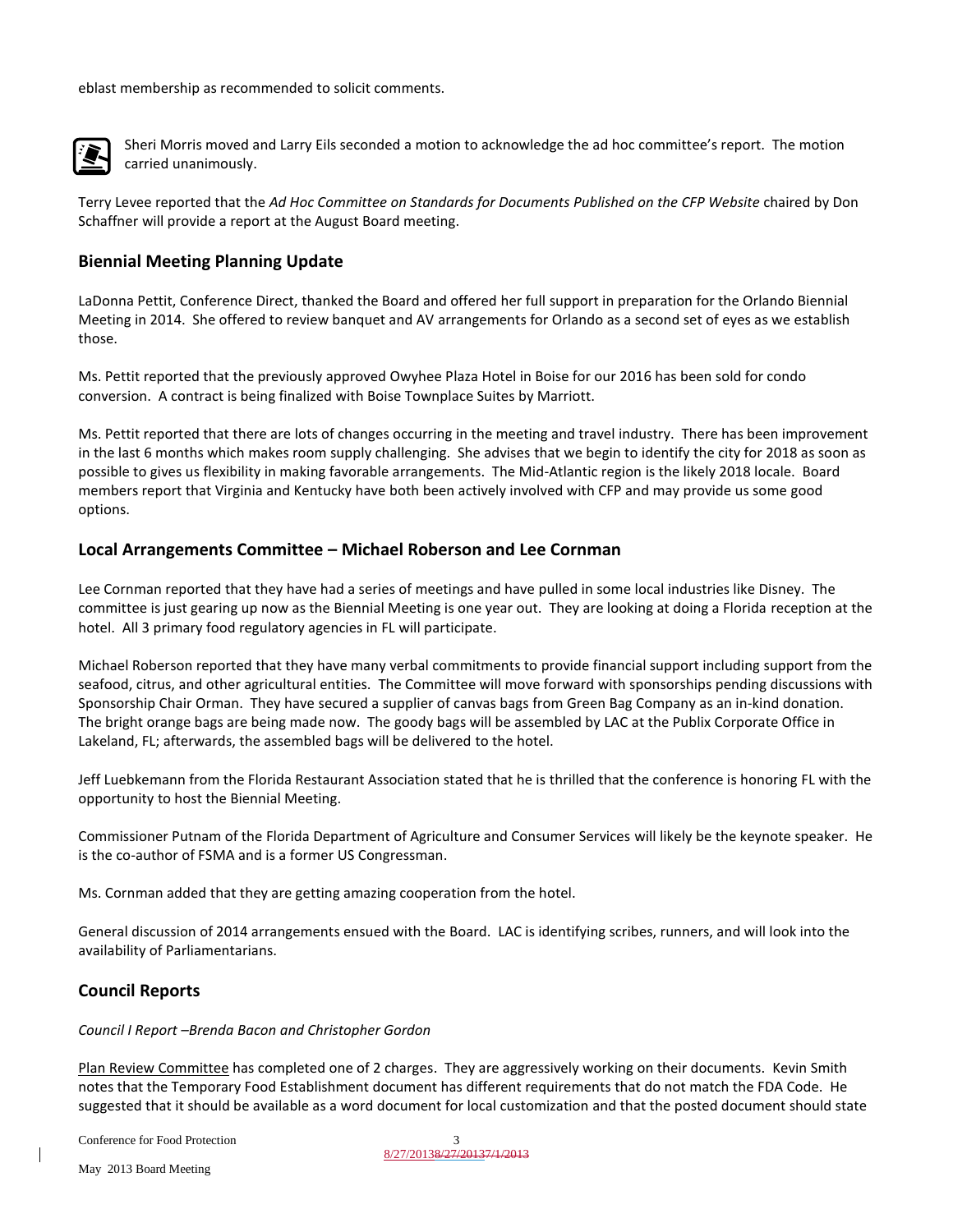eblast membership as recommended to solicit comments.



Sheri Morris moved and Larry Eils seconded a motion to acknowledge the ad hoc committee's report. The motion carried unanimously.

Terry Levee reported that the *Ad Hoc Committee on Standards for Documents Published on the CFP Website* chaired by Don Schaffner will provide a report at the August Board meeting.

## **Biennial Meeting Planning Update**

LaDonna Pettit, Conference Direct, thanked the Board and offered her full support in preparation for the Orlando Biennial Meeting in 2014. She offered to review banquet and AV arrangements for Orlando as a second set of eyes as we establish those.

Ms. Pettit reported that the previously approved Owyhee Plaza Hotel in Boise for our 2016 has been sold for condo conversion. A contract is being finalized with Boise Townplace Suites by Marriott.

Ms. Pettit reported that there are lots of changes occurring in the meeting and travel industry. There has been improvement in the last 6 months which makes room supply challenging. She advises that we begin to identify the city for 2018 as soon as possible to gives us flexibility in making favorable arrangements. The Mid-Atlantic region is the likely 2018 locale. Board members report that Virginia and Kentucky have both been actively involved with CFP and may provide us some good options.

## **Local Arrangements Committee – Michael Roberson and Lee Cornman**

Lee Cornman reported that they have had a series of meetings and have pulled in some local industries like Disney. The committee is just gearing up now as the Biennial Meeting is one year out. They are looking at doing a Florida reception at the hotel. All 3 primary food regulatory agencies in FL will participate.

Michael Roberson reported that they have many verbal commitments to provide financial support including support from the seafood, citrus, and other agricultural entities. The Committee will move forward with sponsorships pending discussions with Sponsorship Chair Orman. They have secured a supplier of canvas bags from Green Bag Company as an in-kind donation. The bright orange bags are being made now. The goody bags will be assembled by LAC at the Publix Corporate Office in Lakeland, FL; afterwards, the assembled bags will be delivered to the hotel.

Jeff Luebkemann from the Florida Restaurant Association stated that he is thrilled that the conference is honoring FL with the opportunity to host the Biennial Meeting.

Commissioner Putnam of the Florida Department of Agriculture and Consumer Services will likely be the keynote speaker. He is the co-author of FSMA and is a former US Congressman.

Ms. Cornman added that they are getting amazing cooperation from the hotel.

General discussion of 2014 arrangements ensued with the Board. LAC is identifying scribes, runners, and will look into the availability of Parliamentarians.

## **Council Reports**

#### *Council I Report –Brenda Bacon and Christopher Gordon*

Plan Review Committee has completed one of 2 charges. They are aggressively working on their documents. Kevin Smith notes that the Temporary Food Establishment document has different requirements that do not match the FDA Code. He suggested that it should be available as a word document for local customization and that the posted document should state

Conference for Food Protection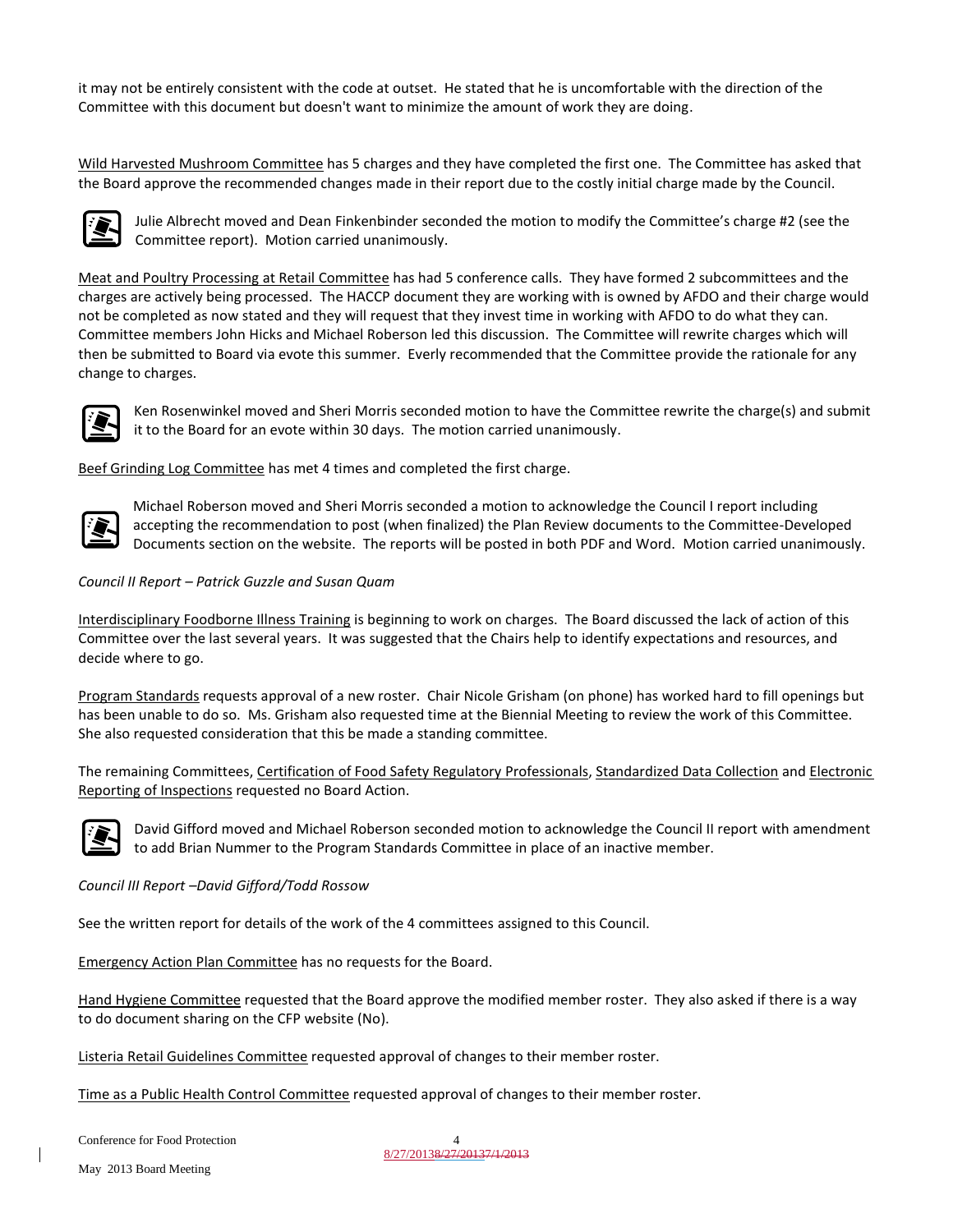it may not be entirely consistent with the code at outset. He stated that he is uncomfortable with the direction of the Committee with this document but doesn't want to minimize the amount of work they are doing.

Wild Harvested Mushroom Committee has 5 charges and they have completed the first one. The Committee has asked that the Board approve the recommended changes made in their report due to the costly initial charge made by the Council.



Julie Albrecht moved and Dean Finkenbinder seconded the motion to modify the Committee's charge #2 (see the Committee report). Motion carried unanimously.

Meat and Poultry Processing at Retail Committee has had 5 conference calls. They have formed 2 subcommittees and the charges are actively being processed. The HACCP document they are working with is owned by AFDO and their charge would not be completed as now stated and they will request that they invest time in working with AFDO to do what they can. Committee members John Hicks and Michael Roberson led this discussion. The Committee will rewrite charges which will then be submitted to Board via evote this summer. Everly recommended that the Committee provide the rationale for any change to charges.



Ken Rosenwinkel moved and Sheri Morris seconded motion to have the Committee rewrite the charge(s) and submit it to the Board for an evote within 30 days. The motion carried unanimously.

Beef Grinding Log Committee has met 4 times and completed the first charge.



Michael Roberson moved and Sheri Morris seconded a motion to acknowledge the Council I report including accepting the recommendation to post (when finalized) the Plan Review documents to the Committee-Developed Documents section on the website. The reports will be posted in both PDF and Word. Motion carried unanimously.

*Council II Report – Patrick Guzzle and Susan Quam*

Interdisciplinary Foodborne Illness Training is beginning to work on charges. The Board discussed the lack of action of this Committee over the last several years. It was suggested that the Chairs help to identify expectations and resources, and decide where to go.

Program Standards requests approval of a new roster. Chair Nicole Grisham (on phone) has worked hard to fill openings but has been unable to do so. Ms. Grisham also requested time at the Biennial Meeting to review the work of this Committee. She also requested consideration that this be made a standing committee.

The remaining Committees, Certification of Food Safety Regulatory Professionals, Standardized Data Collection and Electronic Reporting of Inspections requested no Board Action.



David Gifford moved and Michael Roberson seconded motion to acknowledge the Council II report with amendment to add Brian Nummer to the Program Standards Committee in place of an inactive member.

*Council III Report –David Gifford/Todd Rossow*

See the written report for details of the work of the 4 committees assigned to this Council.

Emergency Action Plan Committee has no requests for the Board.

Hand Hygiene Committee requested that the Board approve the modified member roster. They also asked if there is a way to do document sharing on the CFP website (No).

Listeria Retail Guidelines Committee requested approval of changes to their member roster.

Time as a Public Health Control Committee requested approval of changes to their member roster.

Conference for Food Protection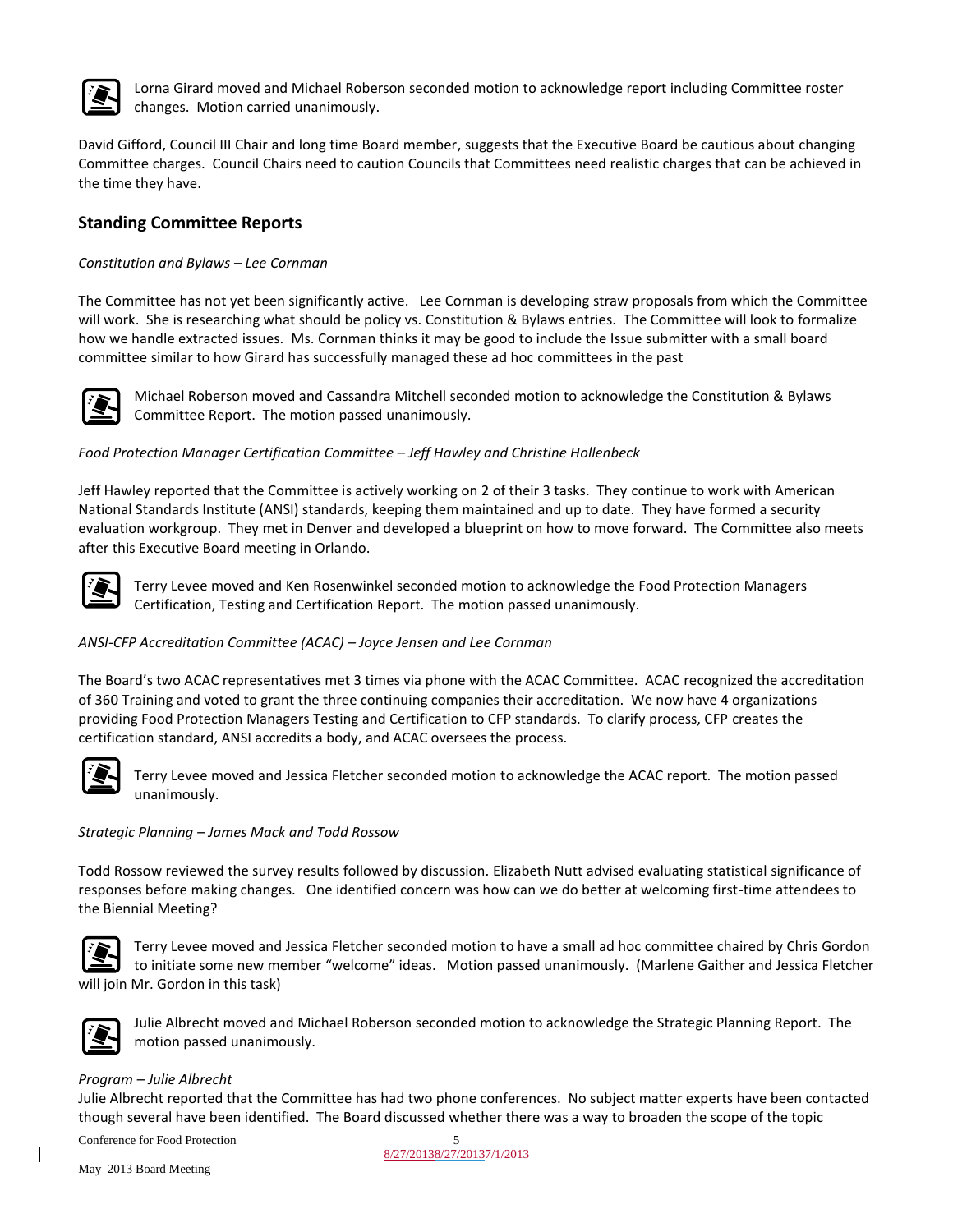

Lorna Girard moved and Michael Roberson seconded motion to acknowledge report including Committee roster changes. Motion carried unanimously.

David Gifford, Council III Chair and long time Board member, suggests that the Executive Board be cautious about changing Committee charges. Council Chairs need to caution Councils that Committees need realistic charges that can be achieved in the time they have.

## **Standing Committee Reports**

#### *Constitution and Bylaws – Lee Cornman*

The Committee has not yet been significantly active. Lee Cornman is developing straw proposals from which the Committee will work. She is researching what should be policy vs. Constitution & Bylaws entries. The Committee will look to formalize how we handle extracted issues. Ms. Cornman thinks it may be good to include the Issue submitter with a small board committee similar to how Girard has successfully managed these ad hoc committees in the past



Michael Roberson moved and Cassandra Mitchell seconded motion to acknowledge the Constitution & Bylaws Committee Report. The motion passed unanimously.

### *Food Protection Manager Certification Committee – Jeff Hawley and Christine Hollenbeck*

Jeff Hawley reported that the Committee is actively working on 2 of their 3 tasks. They continue to work with American National Standards Institute (ANSI) standards, keeping them maintained and up to date. They have formed a security evaluation workgroup. They met in Denver and developed a blueprint on how to move forward. The Committee also meets after this Executive Board meeting in Orlando.



Terry Levee moved and Ken Rosenwinkel seconded motion to acknowledge the Food Protection Managers Certification, Testing and Certification Report. The motion passed unanimously.

#### *ANSI-CFP Accreditation Committee (ACAC) – Joyce Jensen and Lee Cornman*

The Board's two ACAC representatives met 3 times via phone with the ACAC Committee. ACAC recognized the accreditation of 360 Training and voted to grant the three continuing companies their accreditation. We now have 4 organizations providing Food Protection Managers Testing and Certification to CFP standards. To clarify process, CFP creates the certification standard, ANSI accredits a body, and ACAC oversees the process.



Terry Levee moved and Jessica Fletcher seconded motion to acknowledge the ACAC report. The motion passed unanimously.

#### *Strategic Planning – James Mack and Todd Rossow*

Todd Rossow reviewed the survey results followed by discussion. Elizabeth Nutt advised evaluating statistical significance of responses before making changes. One identified concern was how can we do better at welcoming first-time attendees to the Biennial Meeting?



Terry Levee moved and Jessica Fletcher seconded motion to have a small ad hoc committee chaired by Chris Gordon to initiate some new member "welcome" ideas. Motion passed unanimously. (Marlene Gaither and Jessica Fletcher will join Mr. Gordon in this task)



Julie Albrecht moved and Michael Roberson seconded motion to acknowledge the Strategic Planning Report. The motion passed unanimously.

#### *Program – Julie Albrecht*

Julie Albrecht reported that the Committee has had two phone conferences. No subject matter experts have been contacted though several have been identified. The Board discussed whether there was a way to broaden the scope of the topic

Conference for Food Protection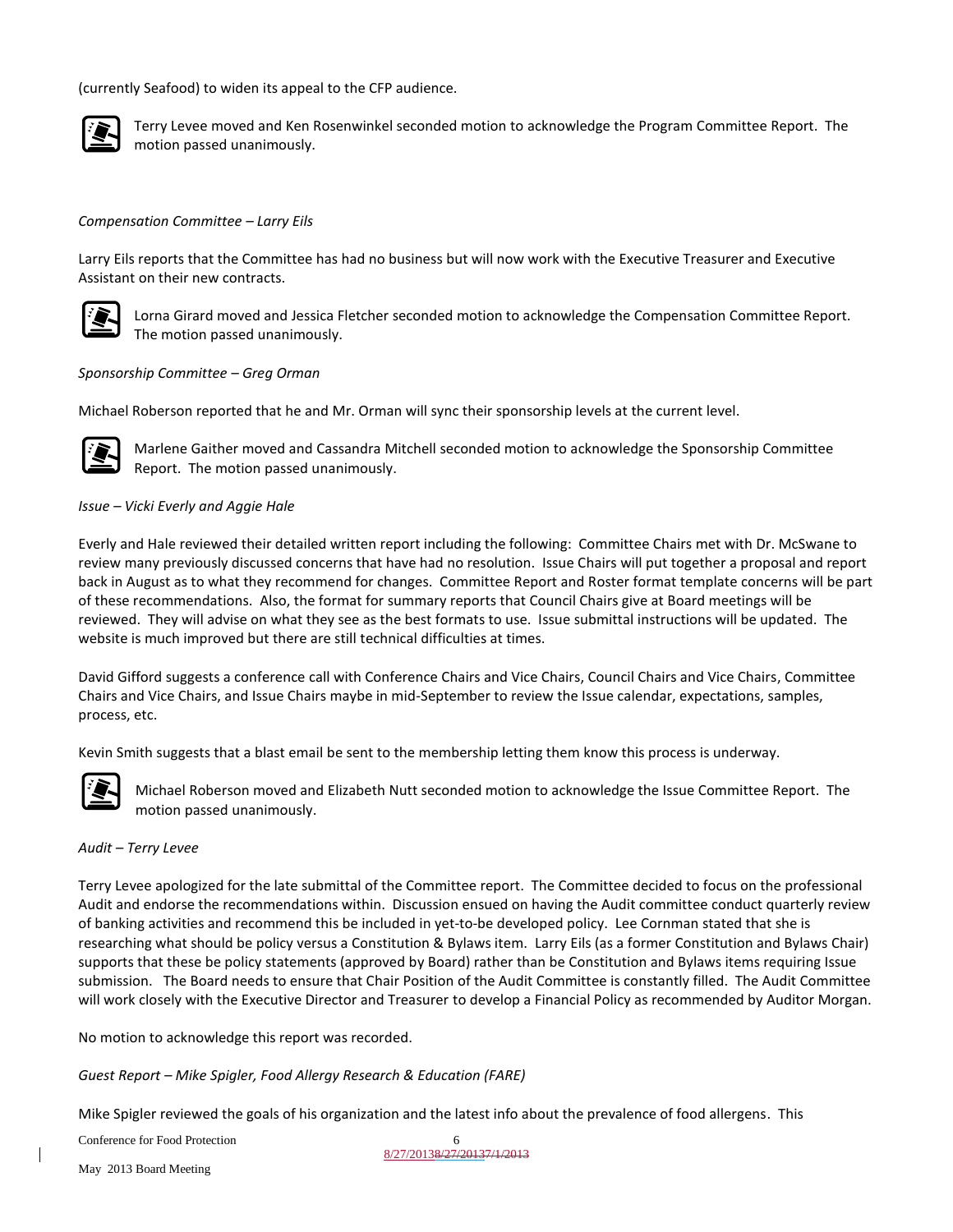(currently Seafood) to widen its appeal to the CFP audience.



Terry Levee moved and Ken Rosenwinkel seconded motion to acknowledge the Program Committee Report. The motion passed unanimously.

#### *Compensation Committee – Larry Eils*

Larry Eils reports that the Committee has had no business but will now work with the Executive Treasurer and Executive Assistant on their new contracts.



Lorna Girard moved and Jessica Fletcher seconded motion to acknowledge the Compensation Committee Report. The motion passed unanimously.

*Sponsorship Committee – Greg Orman*

Michael Roberson reported that he and Mr. Orman will sync their sponsorship levels at the current level.



Marlene Gaither moved and Cassandra Mitchell seconded motion to acknowledge the Sponsorship Committee Report. The motion passed unanimously.

#### *Issue – Vicki Everly and Aggie Hale*

Everly and Hale reviewed their detailed written report including the following: Committee Chairs met with Dr. McSwane to review many previously discussed concerns that have had no resolution. Issue Chairs will put together a proposal and report back in August as to what they recommend for changes. Committee Report and Roster format template concerns will be part of these recommendations. Also, the format for summary reports that Council Chairs give at Board meetings will be reviewed. They will advise on what they see as the best formats to use. Issue submittal instructions will be updated. The website is much improved but there are still technical difficulties at times.

David Gifford suggests a conference call with Conference Chairs and Vice Chairs, Council Chairs and Vice Chairs, Committee Chairs and Vice Chairs, and Issue Chairs maybe in mid-September to review the Issue calendar, expectations, samples, process, etc.

Kevin Smith suggests that a blast email be sent to the membership letting them know this process is underway.



Michael Roberson moved and Elizabeth Nutt seconded motion to acknowledge the Issue Committee Report. The motion passed unanimously.

#### *Audit – Terry Levee*

Terry Levee apologized for the late submittal of the Committee report. The Committee decided to focus on the professional Audit and endorse the recommendations within. Discussion ensued on having the Audit committee conduct quarterly review of banking activities and recommend this be included in yet-to-be developed policy. Lee Cornman stated that she is researching what should be policy versus a Constitution & Bylaws item. Larry Eils (as a former Constitution and Bylaws Chair) supports that these be policy statements (approved by Board) rather than be Constitution and Bylaws items requiring Issue submission. The Board needs to ensure that Chair Position of the Audit Committee is constantly filled. The Audit Committee will work closely with the Executive Director and Treasurer to develop a Financial Policy as recommended by Auditor Morgan.

No motion to acknowledge this report was recorded.

*Guest Report – Mike Spigler, Food Allergy Research & Education (FARE)*

Mike Spigler reviewed the goals of his organization and the latest info about the prevalence of food allergens. This

Conference for Food Protection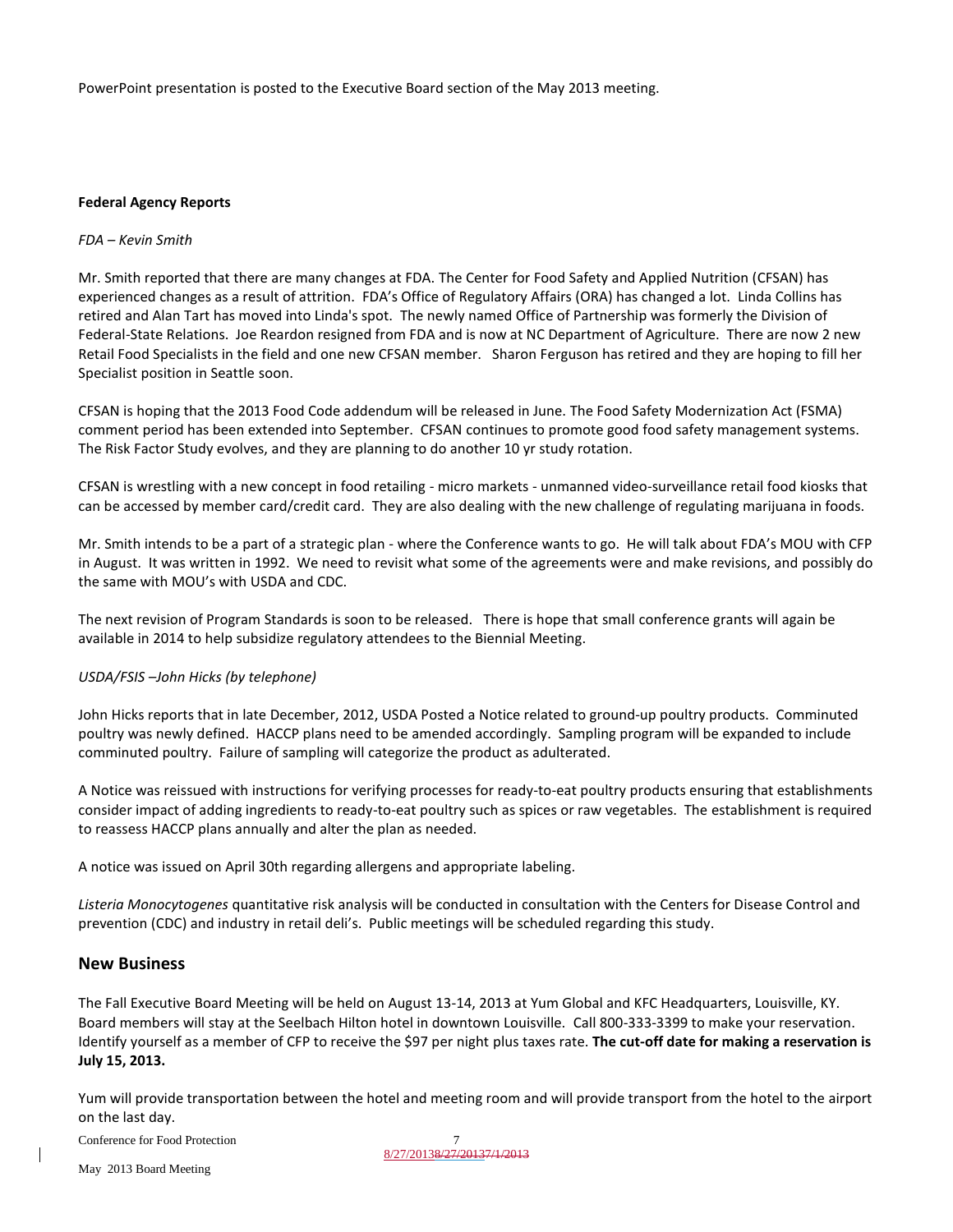PowerPoint presentation is posted to the Executive Board section of the May 2013 meeting.

#### **Federal Agency Reports**

#### *FDA – Kevin Smith*

Mr. Smith reported that there are many changes at FDA. The Center for Food Safety and Applied Nutrition (CFSAN) has experienced changes as a result of attrition. FDA's Office of Regulatory Affairs (ORA) has changed a lot. Linda Collins has retired and Alan Tart has moved into Linda's spot. The newly named Office of Partnership was formerly the Division of Federal-State Relations. Joe Reardon resigned from FDA and is now at NC Department of Agriculture. There are now 2 new Retail Food Specialists in the field and one new CFSAN member. Sharon Ferguson has retired and they are hoping to fill her Specialist position in Seattle soon.

CFSAN is hoping that the 2013 Food Code addendum will be released in June. The Food Safety Modernization Act (FSMA) comment period has been extended into September. CFSAN continues to promote good food safety management systems. The Risk Factor Study evolves, and they are planning to do another 10 yr study rotation.

CFSAN is wrestling with a new concept in food retailing - micro markets - unmanned video-surveillance retail food kiosks that can be accessed by member card/credit card. They are also dealing with the new challenge of regulating marijuana in foods.

Mr. Smith intends to be a part of a strategic plan - where the Conference wants to go. He will talk about FDA's MOU with CFP in August. It was written in 1992. We need to revisit what some of the agreements were and make revisions, and possibly do the same with MOU's with USDA and CDC.

The next revision of Program Standards is soon to be released. There is hope that small conference grants will again be available in 2014 to help subsidize regulatory attendees to the Biennial Meeting.

#### *USDA/FSIS –John Hicks (by telephone)*

John Hicks reports that in late December, 2012, USDA Posted a Notice related to ground-up poultry products. Comminuted poultry was newly defined. HACCP plans need to be amended accordingly. Sampling program will be expanded to include comminuted poultry. Failure of sampling will categorize the product as adulterated.

A Notice was reissued with instructions for verifying processes for ready-to-eat poultry products ensuring that establishments consider impact of adding ingredients to ready-to-eat poultry such as spices or raw vegetables. The establishment is required to reassess HACCP plans annually and alter the plan as needed.

A notice was issued on April 30th regarding allergens and appropriate labeling.

*Listeria Monocytogenes* quantitative risk analysis will be conducted in consultation with the Centers for Disease Control and prevention (CDC) and industry in retail deli's. Public meetings will be scheduled regarding this study.

#### **New Business**

The Fall Executive Board Meeting will be held on August 13-14, 2013 at Yum Global and KFC Headquarters, Louisville, KY. Board members will stay at the Seelbach Hilton hotel in downtown Louisville. Call 800-333-3399 to make your reservation. Identify yourself as a member of CFP to receive the \$97 per night plus taxes rate. **The cut-off date for making a reservation is July 15, 2013.** 

Yum will provide transportation between the hotel and meeting room and will provide transport from the hotel to the airport on the last day.

Conference for Food Protection

May 2013 Board Meeting